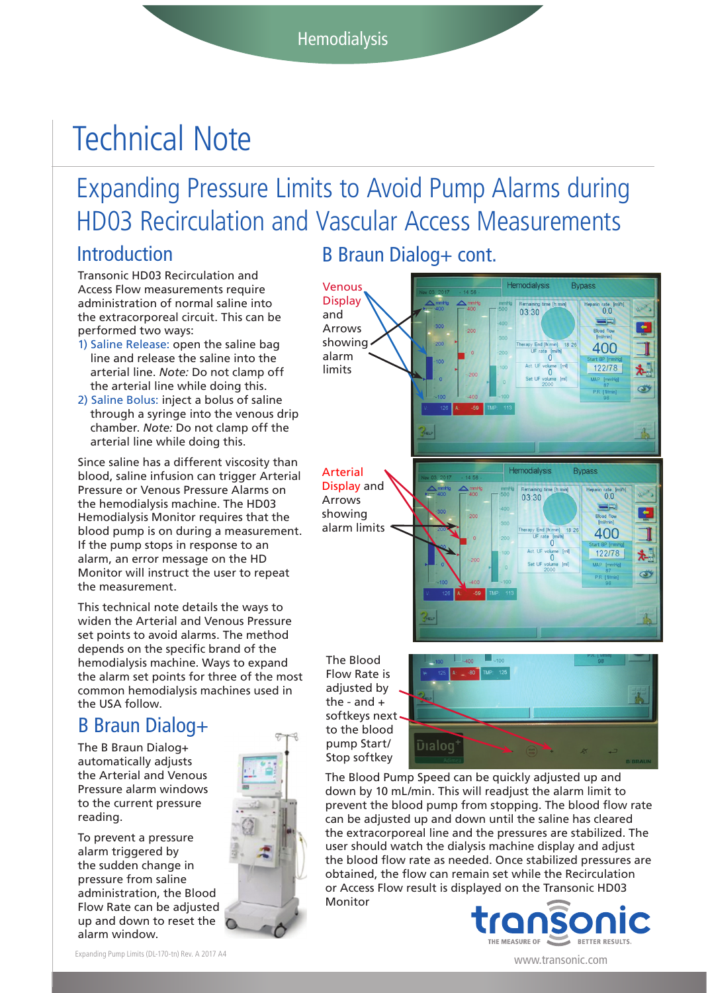# Technical Note

## Expanding Pressure Limits to Avoid Pump Alarms during HD03 Recirculation and Vascular Access Measurements

### Introduction

Transonic HD03 Recirculation and Access Flow measurements require administration of normal saline into the extracorporeal circuit. This can be performed two ways:

- 1) Saline Release: open the saline bag line and release the saline into the arterial line. *Note:* Do not clamp off the arterial line while doing this.
- 2) Saline Bolus: inject a bolus of saline through a syringe into the venous drip chamber. *Note:* Do not clamp off the arterial line while doing this.

Since saline has a different viscosity than blood, saline infusion can trigger Arterial Pressure or Venous Pressure Alarms on the hemodialysis machine. The HD03 Hemodialysis Monitor requires that the blood pump is on during a measurement. If the pump stops in response to an alarm, an error message on the HD Monitor will instruct the user to repeat the measurement.

This technical note details the ways to widen the Arterial and Venous Pressure set points to avoid alarms. The method depends on the specific brand of the hemodialysis machine. Ways to expand the alarm set points for three of the most common hemodialysis machines used in the USA follow.

## B Braun Dialog+

The B Braun Dialog+ automatically adjusts the Arterial and Venous Pressure alarm windows to the current pressure reading.

To prevent a pressure alarm triggered by the sudden change in pressure from saline administration, the Blood Flow Rate can be adjusted up and down to reset the alarm window.



B Braun Dialog+ cont.



The Blood Flow Rate is adjusted by the - and + softkeys next to the blood pump Start/ Stop softkey



The Blood Pump Speed can be quickly adjusted up and down by 10 mL/min. This will readjust the alarm limit to prevent the blood pump from stopping. The blood flow rate can be adjusted up and down until the saline has cleared the extracorporeal line and the pressures are stabilized. The user should watch the dialysis machine display and adjust the blood flow rate as needed. Once stabilized pressures are obtained, the flow can remain set while the Recirculation or Access Flow result is displayed on the Transonic HD03 Monitor



Expanding Pump Limits (DL-170-tn) Rev. A 2017 A4